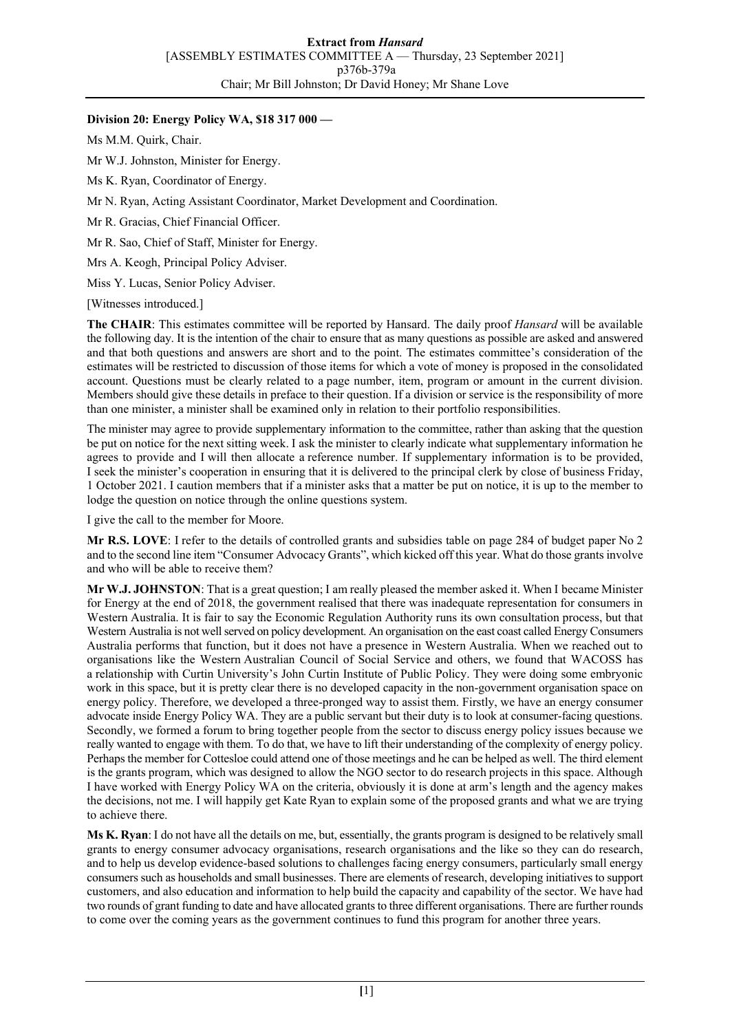## **Division 20: Energy Policy WA, \$18 317 000 —**

Ms M.M. Quirk, Chair.

Mr W.J. Johnston, Minister for Energy.

Ms K. Ryan, Coordinator of Energy.

Mr N. Ryan, Acting Assistant Coordinator, Market Development and Coordination.

Mr R. Gracias, Chief Financial Officer.

Mr R. Sao, Chief of Staff, Minister for Energy.

Mrs A. Keogh, Principal Policy Adviser.

Miss Y. Lucas, Senior Policy Adviser.

[Witnesses introduced.]

**The CHAIR**: This estimates committee will be reported by Hansard. The daily proof *Hansard* will be available the following day. It is the intention of the chair to ensure that as many questions as possible are asked and answered and that both questions and answers are short and to the point. The estimates committee's consideration of the estimates will be restricted to discussion of those items for which a vote of money is proposed in the consolidated account. Questions must be clearly related to a page number, item, program or amount in the current division. Members should give these details in preface to their question. If a division or service is the responsibility of more than one minister, a minister shall be examined only in relation to their portfolio responsibilities.

The minister may agree to provide supplementary information to the committee, rather than asking that the question be put on notice for the next sitting week. I ask the minister to clearly indicate what supplementary information he agrees to provide and I will then allocate a reference number. If supplementary information is to be provided, I seek the minister's cooperation in ensuring that it is delivered to the principal clerk by close of business Friday, 1 October 2021. I caution members that if a minister asks that a matter be put on notice, it is up to the member to lodge the question on notice through the online questions system.

I give the call to the member for Moore.

**Mr R.S. LOVE**: I refer to the details of controlled grants and subsidies table on page 284 of budget paper No 2 and to the second line item "Consumer Advocacy Grants", which kicked off this year. What do those grants involve and who will be able to receive them?

**Mr W.J. JOHNSTON**: That is a great question; I am really pleased the member asked it. When I became Minister for Energy at the end of 2018, the government realised that there was inadequate representation for consumers in Western Australia. It is fair to say the Economic Regulation Authority runs its own consultation process, but that Western Australia is not well served on policy development. An organisation on the east coast called Energy Consumers Australia performs that function, but it does not have a presence in Western Australia. When we reached out to organisations like the Western Australian Council of Social Service and others, we found that WACOSS has a relationship with Curtin University's John Curtin Institute of Public Policy. They were doing some embryonic work in this space, but it is pretty clear there is no developed capacity in the non-government organisation space on energy policy. Therefore, we developed a three-pronged way to assist them. Firstly, we have an energy consumer advocate inside Energy Policy WA. They are a public servant but their duty is to look at consumer-facing questions. Secondly, we formed a forum to bring together people from the sector to discuss energy policy issues because we really wanted to engage with them. To do that, we have to lift their understanding of the complexity of energy policy. Perhaps the member for Cottesloe could attend one of those meetings and he can be helped as well. The third element is the grants program, which was designed to allow the NGO sector to do research projects in this space. Although I have worked with Energy Policy WA on the criteria, obviously it is done at arm's length and the agency makes the decisions, not me. I will happily get Kate Ryan to explain some of the proposed grants and what we are trying to achieve there.

**Ms K. Ryan**: I do not have all the details on me, but, essentially, the grants program is designed to be relatively small grants to energy consumer advocacy organisations, research organisations and the like so they can do research, and to help us develop evidence-based solutions to challenges facing energy consumers, particularly small energy consumers such as households and small businesses. There are elements of research, developing initiatives to support customers, and also education and information to help build the capacity and capability of the sector. We have had two rounds of grant funding to date and have allocated grants to three different organisations. There are further rounds to come over the coming years as the government continues to fund this program for another three years.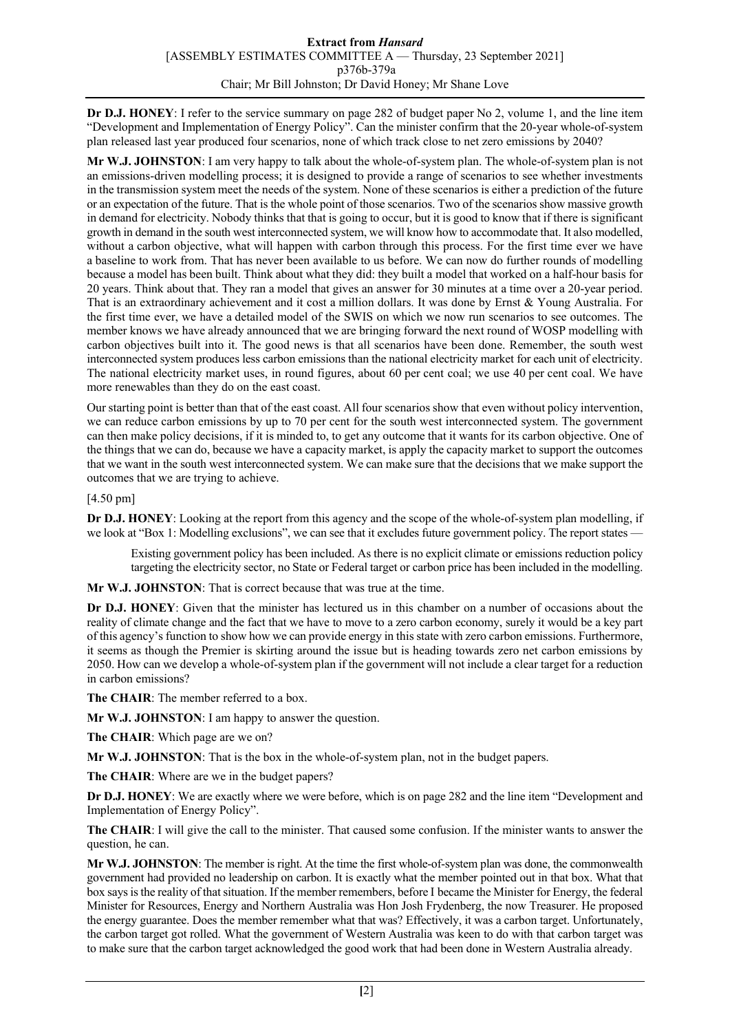**Dr D.J. HONEY**: I refer to the service summary on page 282 of budget paper No 2, volume 1, and the line item "Development and Implementation of Energy Policy". Can the minister confirm that the 20-year whole-of-system plan released last year produced four scenarios, none of which track close to net zero emissions by 2040?

**Mr W.J. JOHNSTON**: I am very happy to talk about the whole-of-system plan. The whole-of-system plan is not an emissions-driven modelling process; it is designed to provide a range of scenarios to see whether investments in the transmission system meet the needs of the system. None of these scenarios is either a prediction of the future or an expectation of the future. That is the whole point of those scenarios. Two of the scenarios show massive growth in demand for electricity. Nobody thinks that that is going to occur, but it is good to know that if there is significant growth in demand in the south west interconnected system, we will know how to accommodate that. It also modelled, without a carbon objective, what will happen with carbon through this process. For the first time ever we have a baseline to work from. That has never been available to us before. We can now do further rounds of modelling because a model has been built. Think about what they did: they built a model that worked on a half-hour basis for 20 years. Think about that. They ran a model that gives an answer for 30 minutes at a time over a 20-year period. That is an extraordinary achievement and it cost a million dollars. It was done by Ernst & Young Australia. For the first time ever, we have a detailed model of the SWIS on which we now run scenarios to see outcomes. The member knows we have already announced that we are bringing forward the next round of WOSP modelling with carbon objectives built into it. The good news is that all scenarios have been done. Remember, the south west interconnected system produces less carbon emissions than the national electricity market for each unit of electricity. The national electricity market uses, in round figures, about 60 per cent coal; we use 40 per cent coal. We have more renewables than they do on the east coast.

Our starting point is better than that of the east coast. All four scenarios show that even without policy intervention, we can reduce carbon emissions by up to 70 per cent for the south west interconnected system. The government can then make policy decisions, if it is minded to, to get any outcome that it wants for its carbon objective. One of the things that we can do, because we have a capacity market, is apply the capacity market to support the outcomes that we want in the south west interconnected system. We can make sure that the decisions that we make support the outcomes that we are trying to achieve.

[4.50 pm]

**Dr D.J. HONEY**: Looking at the report from this agency and the scope of the whole-of-system plan modelling, if we look at "Box 1: Modelling exclusions", we can see that it excludes future government policy. The report states —

Existing government policy has been included. As there is no explicit climate or emissions reduction policy targeting the electricity sector, no State or Federal target or carbon price has been included in the modelling.

**Mr W.J. JOHNSTON**: That is correct because that was true at the time.

**Dr D.J. HONEY**: Given that the minister has lectured us in this chamber on a number of occasions about the reality of climate change and the fact that we have to move to a zero carbon economy, surely it would be a key part of this agency's function to show how we can provide energy in this state with zero carbon emissions. Furthermore, it seems as though the Premier is skirting around the issue but is heading towards zero net carbon emissions by 2050. How can we develop a whole-of-system plan if the government will not include a clear target for a reduction in carbon emissions?

**The CHAIR**: The member referred to a box.

**Mr W.J. JOHNSTON**: I am happy to answer the question.

**The CHAIR**: Which page are we on?

**Mr W.J. JOHNSTON**: That is the box in the whole-of-system plan, not in the budget papers.

**The CHAIR**: Where are we in the budget papers?

**Dr D.J. HONEY**: We are exactly where we were before, which is on page 282 and the line item "Development and Implementation of Energy Policy".

**The CHAIR**: I will give the call to the minister. That caused some confusion. If the minister wants to answer the question, he can.

**Mr W.J. JOHNSTON**: The member is right. At the time the first whole-of-system plan was done, the commonwealth government had provided no leadership on carbon. It is exactly what the member pointed out in that box. What that box says is the reality of that situation. If the member remembers, before I became the Minister for Energy, the federal Minister for Resources, Energy and Northern Australia was Hon Josh Frydenberg, the now Treasurer. He proposed the energy guarantee. Does the member remember what that was? Effectively, it was a carbon target. Unfortunately, the carbon target got rolled. What the government of Western Australia was keen to do with that carbon target was to make sure that the carbon target acknowledged the good work that had been done in Western Australia already.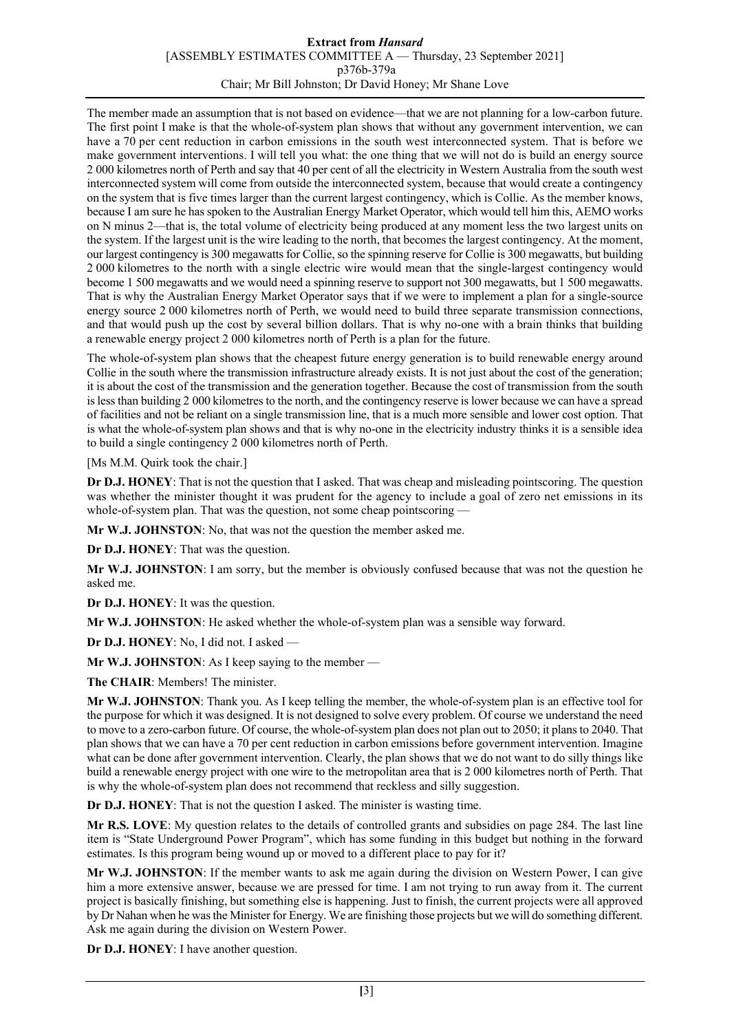## **Extract from** *Hansard* [ASSEMBLY ESTIMATES COMMITTEE A — Thursday, 23 September 2021] p376b-379a Chair; Mr Bill Johnston; Dr David Honey; Mr Shane Love

The member made an assumption that is not based on evidence—that we are not planning for a low-carbon future. The first point I make is that the whole-of-system plan shows that without any government intervention, we can have a 70 per cent reduction in carbon emissions in the south west interconnected system. That is before we make government interventions. I will tell you what: the one thing that we will not do is build an energy source 2 000 kilometres north of Perth and say that 40 per cent of all the electricity in Western Australia from the south west interconnected system will come from outside the interconnected system, because that would create a contingency on the system that is five times larger than the current largest contingency, which is Collie. As the member knows, because I am sure he has spoken to the Australian Energy Market Operator, which would tell him this, AEMO works on N minus 2—that is, the total volume of electricity being produced at any moment less the two largest units on the system. If the largest unit is the wire leading to the north, that becomes the largest contingency. At the moment, our largest contingency is 300 megawatts for Collie, so the spinning reserve for Collie is 300 megawatts, but building 2 000 kilometres to the north with a single electric wire would mean that the single-largest contingency would become 1 500 megawatts and we would need a spinning reserve to support not 300 megawatts, but 1 500 megawatts. That is why the Australian Energy Market Operator says that if we were to implement a plan for a single-source energy source 2 000 kilometres north of Perth, we would need to build three separate transmission connections, and that would push up the cost by several billion dollars. That is why no-one with a brain thinks that building a renewable energy project 2 000 kilometres north of Perth is a plan for the future.

The whole-of-system plan shows that the cheapest future energy generation is to build renewable energy around Collie in the south where the transmission infrastructure already exists. It is not just about the cost of the generation; it is about the cost of the transmission and the generation together. Because the cost of transmission from the south is less than building 2 000 kilometres to the north, and the contingency reserve is lower because we can have a spread of facilities and not be reliant on a single transmission line, that is a much more sensible and lower cost option. That is what the whole-of-system plan shows and that is why no-one in the electricity industry thinks it is a sensible idea to build a single contingency 2 000 kilometres north of Perth.

[Ms M.M. Quirk took the chair.]

**Dr D.J. HONEY**: That is not the question that I asked. That was cheap and misleading pointscoring. The question was whether the minister thought it was prudent for the agency to include a goal of zero net emissions in its whole-of-system plan. That was the question, not some cheap pointscoring -

**Mr W.J. JOHNSTON**: No, that was not the question the member asked me.

**Dr D.J. HONEY**: That was the question.

**Mr W.J. JOHNSTON**: I am sorry, but the member is obviously confused because that was not the question he asked me.

**Dr D.J. HONEY**: It was the question.

**Mr W.J. JOHNSTON**: He asked whether the whole-of-system plan was a sensible way forward.

**Dr D.J. HONEY**: No, I did not. I asked —

**Mr W.J. JOHNSTON**: As I keep saying to the member —

**The CHAIR**: Members! The minister.

**Mr W.J. JOHNSTON**: Thank you. As I keep telling the member, the whole-of-system plan is an effective tool for the purpose for which it was designed. It is not designed to solve every problem. Of course we understand the need to move to a zero-carbon future. Of course, the whole-of-system plan does not plan out to 2050; it plans to 2040. That plan shows that we can have a 70 per cent reduction in carbon emissions before government intervention. Imagine what can be done after government intervention. Clearly, the plan shows that we do not want to do silly things like build a renewable energy project with one wire to the metropolitan area that is 2 000 kilometres north of Perth. That is why the whole-of-system plan does not recommend that reckless and silly suggestion.

**Dr D.J. HONEY**: That is not the question I asked. The minister is wasting time.

**Mr R.S. LOVE**: My question relates to the details of controlled grants and subsidies on page 284. The last line item is "State Underground Power Program", which has some funding in this budget but nothing in the forward estimates. Is this program being wound up or moved to a different place to pay for it?

**Mr W.J. JOHNSTON**: If the member wants to ask me again during the division on Western Power, I can give him a more extensive answer, because we are pressed for time. I am not trying to run away from it. The current project is basically finishing, but something else is happening. Just to finish, the current projects were all approved by Dr Nahan when he was the Minister for Energy. We are finishing those projects but we will do something different. Ask me again during the division on Western Power.

**Dr D.J. HONEY**: I have another question.